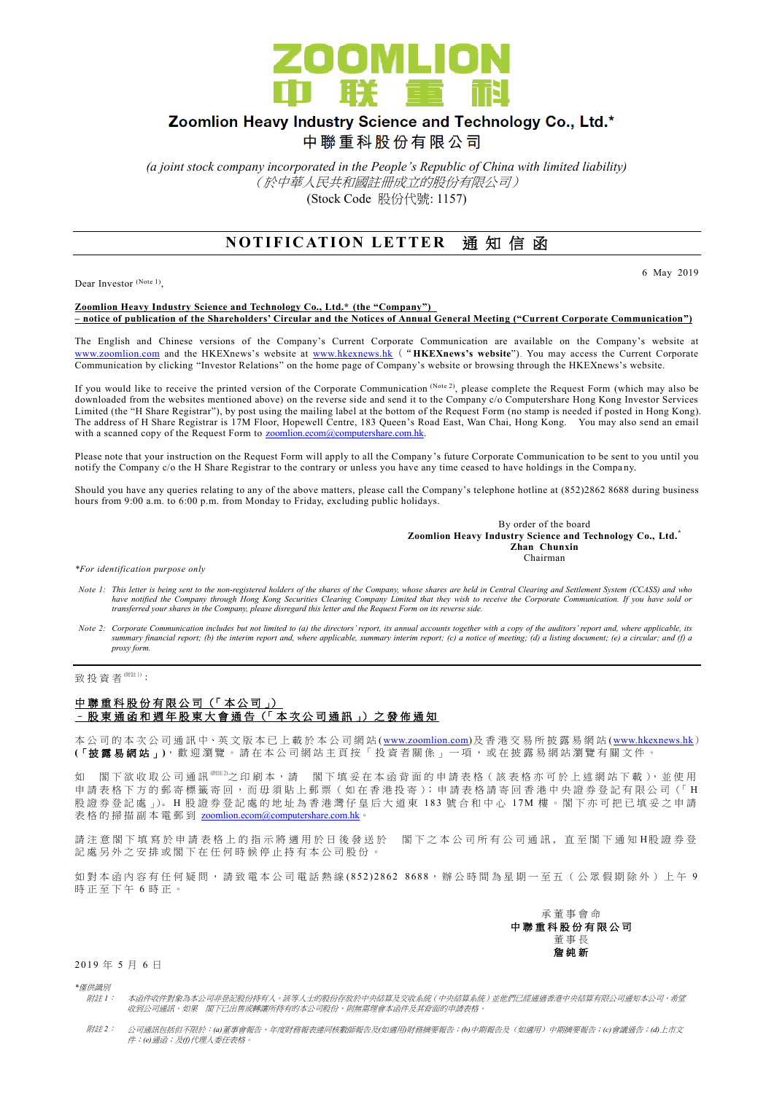

# Zoomlion Heavy Industry Science and Technology Co., Ltd.\*

中聯重科股份有限公司

*(a joint stock company incorporated in the People's Republic of China with limited liability)* (於中華人民共和國註冊成立的股份有限公司) (Stock Code 股份代號: 1157)

## **NOTIFICATION LETTER 涌知信函**

Dear Investor (Note 1),

6 May 2019

#### **Zoomlion Heavy Industry Science and Technology Co., Ltd.\* (the "Company") – notice of publication of the Shareholders' Circular and the Notices of Annual General Meeting ("Current Corporate Communication")**

The English and Chinese versions of the Company's Current Corporate Communication are available on the Company's website at [www.zoomlion.com](http://www.zoomlion.com/) and the HKEXnews's website at [www.hkexnews.hk](http://www.hkexnews.hk/) ("**HKEXnews's website**"). You may access the Current Corporate Communication by clicking "Investor Relations" on the home page of Company's website or browsing through the HKEXnews's website.

If you would like to receive the printed version of the Corporate Communication (Note 2), please complete the Request Form (which may also be downloaded from the websites mentioned above) on the reverse side and send it to the Company c/o Computershare Hong Kong Investor Services Limited (the "H Share Registrar"), by post using the mailing label at the bottom of the Request Form (no stamp is needed if posted in Hong Kong). The address of H Share Registrar is 17M Floor, Hopewell Centre, 183 Queen's Road East, Wan Chai, Hong Kong. You may also send an email with a scanned copy of the Request Form to [zoomlion.ecom@computershare.com.hk.](mailto:zoomlion.ecom@computershare.com.hk)

Please note that your instruction on the Request Form will apply to all the Company's future Corporate Communication to be sent to you until you notify the Company c/o the H Share Registrar to the contrary or unless you have any time ceased to have holdings in the Compa ny.

Should you have any queries relating to any of the above matters, please call the Company's telephone hotline at (852)2862 8688 during business hours from 9:00 a.m. to 6:00 p.m. from Monday to Friday, excluding public holidays.

> By order of the board **Zoomlion Heavy Industry Science and Technology Co., Ltd.\* Zhan Chunxin** Chairman

*\*For identification purpose only*

- *Note 1: This letter is being sent to the non-registered holders of the shares of the Company, whose shares are held in Central Clearing and Settlement System (CCASS) and who*  have notified the Company through Hong Kong Securities Clearing Company Limited that they wish to receive the Corporate Communication. If you have sold or<br>transferred your shares in the Company, please disregard this lette
- *Note 2: Corporate Communication includes but not limited to (a) the directors' report, its annual accounts together with a copy of the auditors' report and, where applicable, its summary financial report; (b) the interim report and, where applicable, summary interim report; (c) a notice of meeting; (d) a listing document; (e) a circular; and (f) a proxy form.*

致投資者<sup>(附註1)</sup>:

#### 中聯重科股份有限公司 (「本公司」) – 股 東 通 函 和 週 年 股 東 大 會 通 告 (「本 次 公 司 通 訊 」) 之 發 佈 通 知

本公司的 本 次 公 司 通 訊 中、英 文 版 本 已 上 載於本 公 司 網 站 [\(www.zoomlion.com\)](http://www.zoomlion.com/)及香港交易所披露易網站 [\(www.hkexnews.hk](http://www.hkexnews.hk/)) **(**「披露易網站 」**)**,歡迎瀏覽。 請 在 本 公 司 網 站 主 頁 按 「 投 資 者 關 係 」 一 項 , 或 在 披 露 易 網 站 瀏 覽 有 關 文 件 。

如 閣下欲收取公司通訊<sup>《睢》</sup>之印刷本,請 閣下填妥在本函背面的申請表格(該表格亦可於上述網站下載),並使用 申請表格下方的郵寄標籤寄回,而毋須貼上郵票 (如在香港投寄); 申請表格請寄回香港中央證券登記有限公司 (「H 股證券登記處 心。H 股證券登記處的地址為香港灣仔皇后大道東 183號合和中心 17M 樓。閣下亦可把已填妥之申請 表格的掃描副本電郵到 [zoomlion.ecom@computershare.com.hk](mailto:zoomlion.ecom@computershare.com.hk)

請注 意 閣 下 填 寫 於 申 請 表 格 上 的 指 示 將 適 用 於 日 後 發 送 於 图 下 之 本 公 司 所 有 公 司 通 訊 , 直 至 閣 下 通 知 H股 證 券 登 記處另外之安排或閣下在任何時候停止持有本公司股份。

如對本函內容有任何疑問,請致電本公司電話熱線 (852) 2862 8688,辦公時間為星期一至五(公眾假期除外)上午 9 時正至下午 6 時正。



2019 年 5 月 6 日

*\**僅供識別

- 附註 *1*: 本函件收件對象為本公司非登記股份持有人。該等人士的股份存放於中央結算及交收系統(中央結算系統)並他們已經通過香港中央結算有限公司通知本公司,希望 收到公司通訊。如果 閣下已出售或轉讓所持有的本公司股份,則無需理會本函件及其背面的申請表格。
- 附註 *2*: 公司通訊包括但不限於:*(a)*董事會報告、年度財務報表連同核數師報告及*(*如適用*)*財務摘要報告;*(b)*中期報告及(如適用)中期摘要報告;*(c)*會議通告;*(d)*上市文 件;*(e)*通函;及*(f)*代理人委任表格。